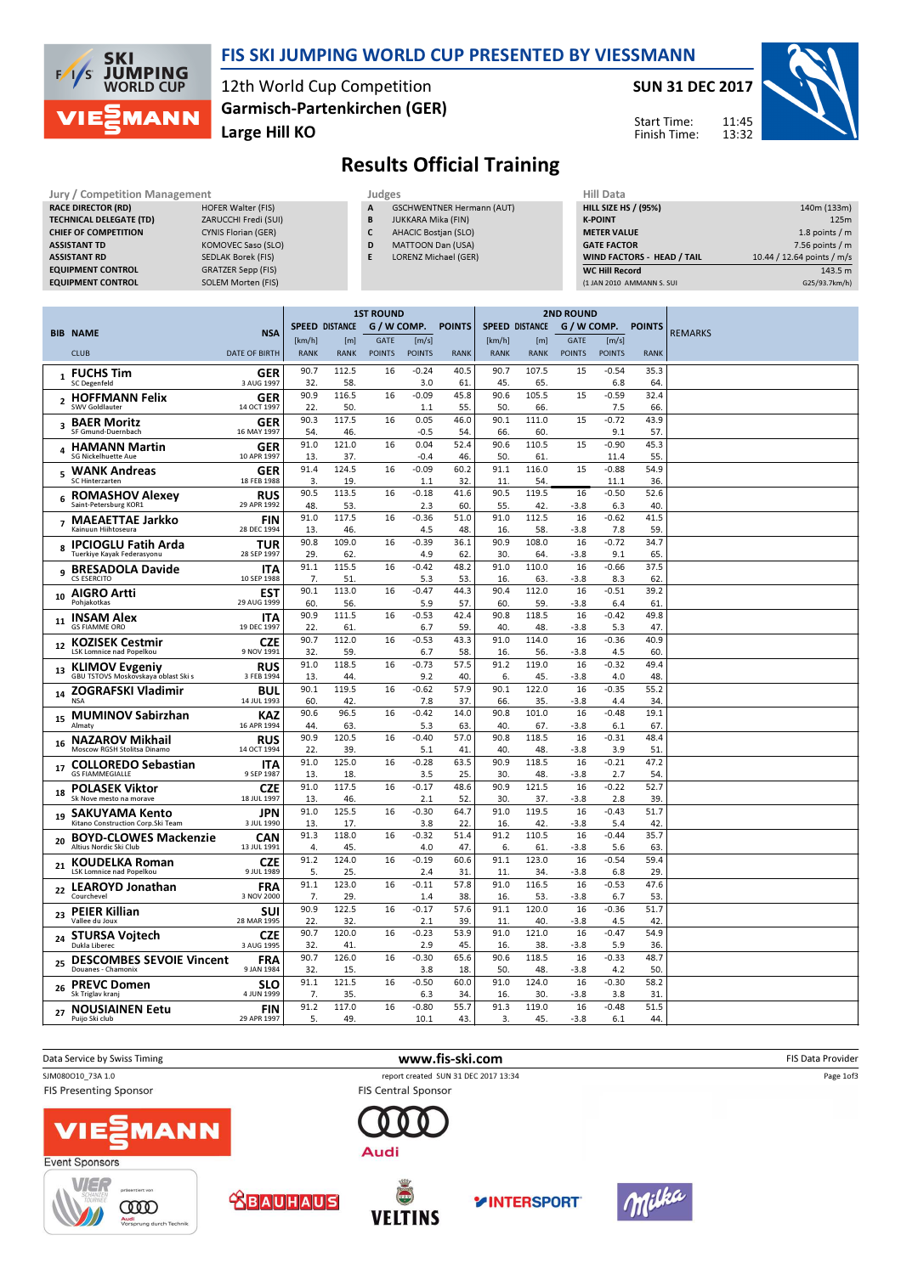

BIB 1  $\epsilon$ 

### FIS SKI JUMPING WORLD CUP PRESENTED BY VIESSMANN

12th World Cup Competition Large Hill KO Garmisch-Partenkirchen (GER) SUN 31 DEC 2017

HILL SIZE HS / (95%) 140m (133m) **K-POINT** 225m METER VALUE 1.8 points / m GATE FACTOR 7.56 points / m WIND FACTORS - HEAD / TAIL 10.44 / 12.64 points / m/s WC Hill Record 143.5 m

Start Time: Finish Time:



## Results Official Training

| Jury / Competition Management  |                            | Judges | <b>Hill Data</b>                 |  |                    |
|--------------------------------|----------------------------|--------|----------------------------------|--|--------------------|
| <b>RACE DIRECTOR (RD)</b>      | <b>HOFER Walter (FIS)</b>  | A      | <b>GSCHWENTNER Hermann (AUT)</b> |  | <b>HILL SIZE H</b> |
| <b>TECHNICAL DELEGATE (TD)</b> | ZARUCCHI Fredi (SUI)       | B      | JUKKARA Mika (FIN)               |  | <b>K-POINT</b>     |
| <b>CHIEF OF COMPETITION</b>    | <b>CYNIS Florian (GER)</b> | C      | <b>AHACIC Bostjan (SLO)</b>      |  | <b>METER VAI</b>   |
| <b>ASSISTANT TD</b>            | KOMOVEC Saso (SLO)         | D      | <b>MATTOON Dan (USA)</b>         |  | <b>GATE FACT</b>   |
| <b>ASSISTANT RD</b>            | <b>SEDLAK Borek (FIS)</b>  | E      | <b>LORENZ Michael (GER)</b>      |  | <b>WIND FACT</b>   |
| <b>EQUIPMENT CONTROL</b>       | <b>GRATZER Sepp (FIS)</b>  |        |                                  |  | WC Hill Re         |
| <b>EQUIPMENT CONTROL</b>       | <b>SOLEM Morten (FIS)</b>  |        |                                  |  | (1 JAN 2010        |
|                                |                            |        |                                  |  |                    |

|    | <b>EQUIPMENT CONTROL</b>                                 | SOLEM Morten (FIS)        |             |                       |                  |                |               |             |                       |                  |                 | (1 JAN 2010 AMMANN S. SUI |                | G25/93.7km/h) |
|----|----------------------------------------------------------|---------------------------|-------------|-----------------------|------------------|----------------|---------------|-------------|-----------------------|------------------|-----------------|---------------------------|----------------|---------------|
|    |                                                          |                           |             |                       |                  |                |               |             |                       |                  |                 |                           |                |               |
|    |                                                          |                           |             |                       | <b>1ST ROUND</b> |                |               |             |                       | <b>2ND ROUND</b> |                 |                           |                |               |
|    | BIB NAME                                                 | <b>NSA</b>                |             | <b>SPEED DISTANCE</b> | G / W COMP.      |                | <b>POINTS</b> |             | <b>SPEED DISTANCE</b> | G / W COMP.      |                 | <b>POINTS</b>             | <b>REMARKS</b> |               |
|    |                                                          |                           | [km/h]      | [m]                   | GATE             | [m/s]          |               | [km/h]      | [m]                   | GATE             | [m/s]           |                           |                |               |
|    | <b>CLUB</b>                                              | <b>DATE OF BIRTH</b>      | <b>RANK</b> | <b>RANK</b>           | <b>POINTS</b>    | <b>POINTS</b>  | <b>RANK</b>   | <b>RANK</b> | <b>RANK</b>           | <b>POINTS</b>    | <b>POINTS</b>   | <b>RANK</b>               |                |               |
|    | $_1$ FUCHS Tim                                           | GER                       | 90.7        | 112.5                 | 16               | $-0.24$        | 40.5          | 90.7        | 107.5                 | 15               | $-0.54$         | 35.3                      |                |               |
|    | <b>SC Degenfeld</b>                                      | 3 AUG 1997                | 32.<br>90.9 | 58.<br>116.5          | 16               | 3.0<br>$-0.09$ | 61<br>45.8    | 45.<br>90.6 | 65.<br>105.5          | 15               | 6.8<br>$-0.59$  | 64<br>32.4                |                |               |
|    | 2 HOFFMANN Felix<br><b>SWV Goldlauter</b>                | GER<br>14 OCT 1997        | 22.         | 50                    |                  | 1.1            | 55.           | 50.         | 66.                   |                  | 7.5             | 66                        |                |               |
|    | 3 BAER Moritz                                            | <b>GER</b>                | 90.3        | 117.5                 | 16               | 0.05           | 46.0          | 90.1        | 111.0                 | 15               | $-0.72$         | 43.9                      |                |               |
|    | SF Gmund-Duernbach                                       | 16 MAY 1997               | 54.         | 46.                   |                  | $-0.5$         | 54.           | 66.         | 60.                   |                  | 9.1             | 57                        |                |               |
|    | 4 HAMANN Martin<br><b>SG Nickelhuette Aue</b>            | GER<br>10 APR 1997        | 91.0<br>13. | 121.0<br>37.          | 16               | 0.04<br>$-0.4$ | 52.4<br>46.   | 90.6<br>50. | 110.5<br>61.          | 15               | $-0.90$<br>11.4 | 45.3<br>55.               |                |               |
|    | <b>WANK Andreas</b>                                      | GER                       | 91.4        | 124.5                 | 16               | $-0.09$        | 60.2          | 91.1        | 116.0                 | 15               | $-0.88$         | 54.9                      |                |               |
| 5  | SC Hinterzarten                                          | 18 FEB 1988               | 3.          | 19                    |                  | 1.1            | 32.           | 11          | 54.                   |                  | 11.1            | 36.                       |                |               |
|    | 6 ROMASHOV Alexey                                        | RUS                       | 90.5        | 113.5                 | 16               | $-0.18$        | 41.6          | 90.5        | 119.5                 | 16               | $-0.50$         | 52.6                      |                |               |
|    | Saint-Petersburg KOR1                                    | 29 APR 1992               | 48.         | 53.                   |                  | 2.3            | 60            | 55.         | 42.                   | $-3.8$           | 6.3             | 40.                       |                |               |
|    | 7 MAEAETTAE Jarkko<br>Kainuun Hiihtoseura                | <b>FIN</b><br>28 DEC 1994 | 91.0<br>13. | 117.5<br>46.          | 16               | $-0.36$<br>4.5 | 51.0<br>48.   | 91.0<br>16. | 112.5<br>58.          | 16<br>$-3.8$     | $-0.62$<br>7.8  | 41.5<br>59.               |                |               |
|    | 8 IPCIOGLU Fatih Arda                                    | TUR                       | 90.8        | 109.0                 | 16               | $-0.39$        | 36.1          | 90.9        | 108.0                 | 16               | $-0.72$         | 34.7                      |                |               |
|    | Tuerkive Kavak Federasvonu                               | 28 SEP 1997               | 29.         | 62                    |                  | 4.9            | 62            | 30.         | 64.                   | -3.8             | 9.1             | 65                        |                |               |
|    | 9 BRESADOLA Davide                                       | <b>ITA</b>                | 91.1        | 115.5                 | 16               | $-0.42$        | 48.2          | 91.0        | 110.0                 | 16               | $-0.66$         | 37.5                      |                |               |
|    | CS ESERCITO                                              | 10 SEP 1988               | 7.<br>90.1  | 51                    |                  | 5.3            | 53.           | 16.<br>90.4 | 63.                   | -3.8             | 8.3             | 62<br>39.2                |                |               |
| 10 | <b>AIGRO Artti</b><br>Pohjakotkas                        | <b>EST</b><br>29 AUG 1999 | 60.         | 113.0<br>56.          | 16               | $-0.47$<br>5.9 | 44.3<br>57.   | 60.         | 112.0<br>59.          | 16<br>$-3.8$     | $-0.51$<br>6.4  | 61                        |                |               |
|    | <b>INSAM Alex</b>                                        | ITA                       | 90.9        | 111.5                 | 16               | $-0.53$        | 42.4          | 90.8        | 118.5                 | 16               | $-0.42$         | 49.8                      |                |               |
| 11 | <b>GS FIAMME ORO</b>                                     | 19 DEC 1997               | 22.         | 61                    |                  | 6.7            | 59.           | 40.         | 48.                   | $-3.8$           | 5.3             | 47                        |                |               |
|    | 12 KOZISEK Cestmir                                       | <b>CZE</b>                | 90.7        | 112.0                 | 16               | $-0.53$        | 43.3          | 91.0        | 114.0                 | 16               | $-0.36$         | 40.9                      |                |               |
|    | LSK Lomnice nad Popelkou                                 | 9 NOV 1991                | 32.<br>91.0 | 59.<br>118.5          | 16               | 6.7<br>$-0.73$ | 58.<br>57.5   | 16.<br>91.2 | 56.<br>119.0          | $-3.8$<br>16     | 4.5<br>$-0.32$  | 60<br>49.4                |                |               |
|    | 13 KLIMOV Evgeniy<br>GBU TSTOVS Moskovskaya oblast Ski s | <b>RUS</b><br>3 FEB 1994  | 13.         | 44.                   |                  | 9.2            | 40.           | 6.          | 45.                   | -3.8             | 4.0             | 48                        |                |               |
|    | 14 ZOGRAFSKI Vladimir                                    | <b>BUL</b>                | 90.1        | 119.5                 | 16               | $-0.62$        | 57.9          | 90.1        | 122.0                 | 16               | $-0.35$         | 55.2                      |                |               |
|    | <b>NSA</b>                                               | 14 JUL 1993               | 60.         | 42                    |                  | 7.8            | 37.           | 66.         | 35.                   | $-3.8$           | 4.4             | 34                        |                |               |
|    | 15 MUMINOV Sabirzhan<br>Almaty                           | <b>KAZ</b><br>16 APR 1994 | 90.6<br>44. | 96.5<br>63.           | 16               | $-0.42$<br>5.3 | 14.0<br>63    | 90.8<br>40. | 101.0<br>67.          | 16<br>-3.8       | $-0.48$<br>6.1  | 19.1<br>67                |                |               |
|    | <b>NAZAROV Mikhail</b>                                   | <b>RUS</b>                | 90.9        | 120.5                 | 16               | $-0.40$        | 57.0          | 90.8        | 118.5                 | 16               | $-0.31$         | 48.4                      |                |               |
| 16 | Moscow RGSH Stolitsa Dinamo                              | 14 OCT 1994               | 22.         | 39.                   |                  | 5.1            | 41.           | 40.         | 48.                   | $-3.8$           | 3.9             | 51                        |                |               |
|    | 17 COLLOREDO Sebastian                                   | <b>ITA</b>                | 91.0        | 125.0                 | 16               | $-0.28$        | 63.5          | 90.9        | 118.5                 | 16               | $-0.21$         | 47.2                      |                |               |
|    | <b>GS FIAMMEGIALLE</b>                                   | 9 SEP 1987                | 13.         | 18.                   |                  | 3.5            | 25.           | 30.         | 48.                   | $-3.8$           | 2.7             | 54.                       |                |               |
|    | 18 POLASEK Viktor<br>Sk Nove mesto na morave             | <b>CZE</b><br>18 JUL 1997 | 91.0<br>13. | 117.5<br>46.          | 16               | $-0.17$<br>2.1 | 48.6<br>52.   | 90.9<br>30. | 121.5<br>37.          | 16<br>-3.8       | $-0.22$<br>2.8  | 52.7<br>39.               |                |               |
|    | <b>SAKUYAMA Kento</b>                                    | JPN                       | 91.0        | 125.5                 | 16               | $-0.30$        | 64.7          | 91.0        | 119.5                 | 16               | $-0.43$         | 51.7                      |                |               |
| 19 | Kitano Construction Corp.Ski Team                        | 3 JUL 1990                | 13.         | 17.                   |                  | 3.8            | 22.           | 16.         | 42.                   | $-3.8$           | 5.4             | 42.                       |                |               |
| 20 | <b>BOYD-CLOWES Mackenzie</b>                             | <b>CAN</b>                | 91.3        | 118.0                 | 16               | $-0.32$        | 51.4          | 91.2        | 110.5                 | 16               | $-0.44$         | 35.7                      |                |               |
|    | Altius Nordic Ski Club                                   | 13 JUL 1991               | 4.<br>91.2  | 45.<br>124.0          | 16               | 4.0<br>$-0.19$ | 47.<br>60.6   | 6.<br>91.1  | 61<br>123.0           | -3.8<br>16       | 5.6<br>$-0.54$  | 63<br>59.4                |                |               |
|    | 21 KOUDELKA Roman<br>LSK Lomnice nad Popelkou            | <b>CZE</b><br>9 JUL 1989  | 5.          | 25.                   |                  | 2.4            | 31.           | 11.         | 34.                   | $-3.8$           | 6.8             | 29.                       |                |               |
|    | 22 LEAROYD Jonathan                                      | <b>FRA</b>                | 91.1        | 123.0                 | 16               | $-0.11$        | 57.8          | 91.0        | 116.5                 | 16               | $-0.53$         | 47.6                      |                |               |
|    | Courchevel                                               | 3 NOV 2000                | 7.          | 29.                   |                  | 1.4            | 38.           | 16.         | 53.                   | $-3.8$           | 6.7             | 53                        |                |               |
| 23 | <b>PEIER Killian</b><br>Vallee du Joux                   | <b>SUI</b><br>28 MAR 1995 | 90.9<br>22. | 122.5<br>32.          | 16               | $-0.17$<br>2.1 | 57.6<br>39.   | 91.1<br>11. | 120.0<br>40.          | 16<br>$-3.8$     | $-0.36$<br>4.5  | 51.7<br>42                |                |               |
|    | <b>STURSA Vojtech</b>                                    | <b>CZE</b>                | 90.7        | 120.0                 | 16               | $-0.23$        | 53.9          | 91.0        | 121.0                 | 16               | $-0.47$         | 54.9                      |                |               |
| 24 | Dukla Liberec                                            | 3 AUG 1995                | 32.         | 41                    |                  | 2.9            | 45.           | 16.         | 38.                   | $-3.8$           | 5.9             | 36.                       |                |               |
| 25 | <b>DESCOMBES SEVOIE Vincent</b>                          | <b>FRA</b>                | 90.7        | 126.0                 | 16               | $-0.30$        | 65.6          | 90.6        | 118.5                 | 16               | $-0.33$         | 48.7                      |                |               |
|    | Douanes - Chamonix                                       | 9 JAN 1984                | 32.<br>91.1 | 15.<br>121.5          |                  | 3.8<br>$-0.50$ | 18.           | 50.         | 48.<br>124.0          | $-3.8$           | 4.2<br>$-0.30$  | 50.                       |                |               |
|    | 26 PREVC Domen<br>Sk Triglav kranj                       | <b>SLO</b><br>4 JUN 1999  | 7.          | 35.                   | 16               | 6.3            | 60.0<br>34    | 91.0<br>16. | 30.                   | 16<br>-3.8       | 3.8             | 58.2<br>31                |                |               |
|    | 27 NOUSIAINEN Eetu                                       | <b>FIN</b>                | 91.2        | 117.0                 | 16               | $-0.80$        | 55.7          | 91.3        | 119.0                 | 16               | $-0.48$         | 51.5                      |                |               |
|    | Puijo Ski club                                           | 29 APR 1997               | 5.          | 49                    |                  | 10.1           | 43.           | 3           | 45.                   | $-3.8$           | 6.1             | 44.                       |                |               |











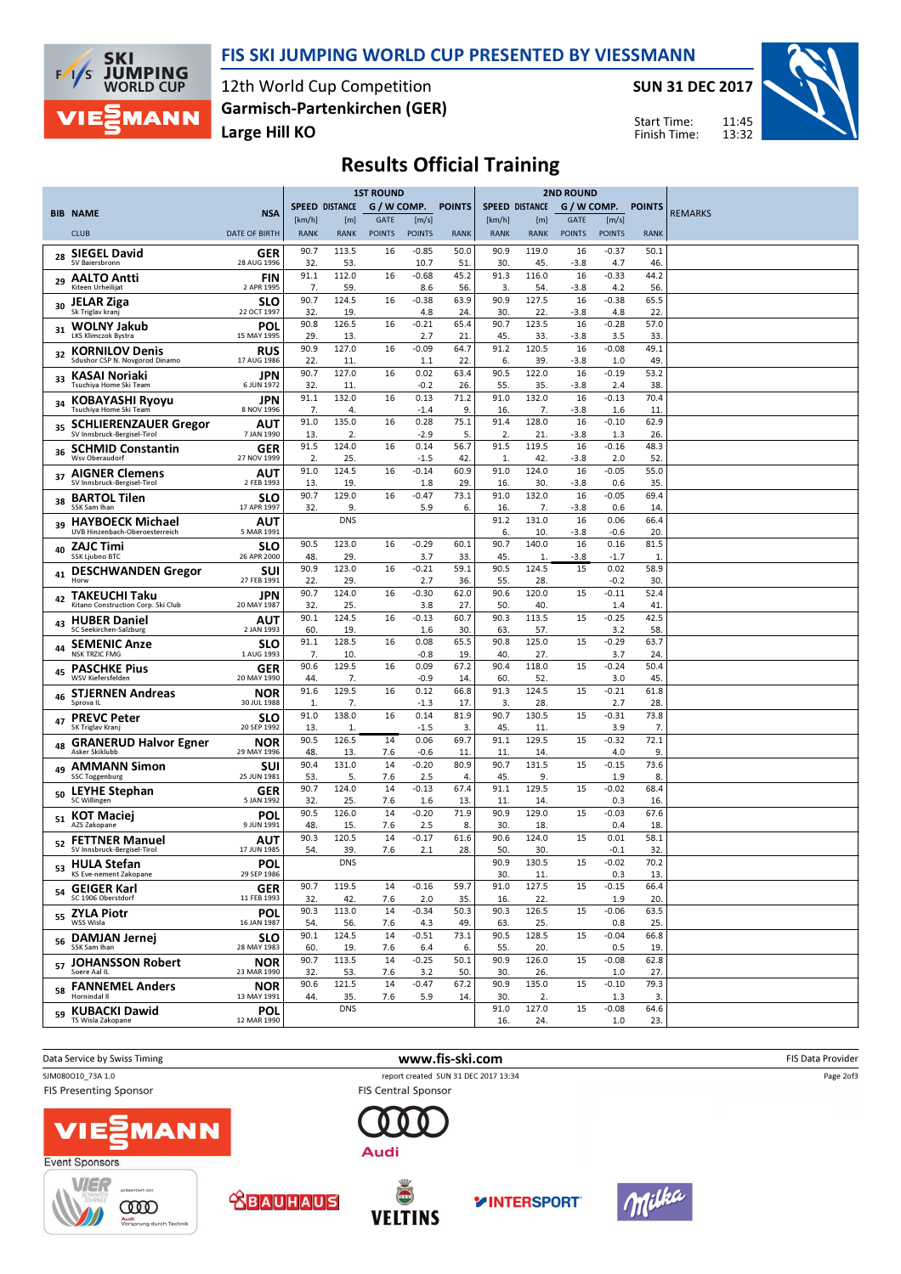

#### FIS SKI JUMPING WORLD CUP PRESENTED BY VIESSMANN

12th World Cup Competition Large Hill KO Garmisch-Partenkirchen (GER) SUN 31 DEC 2017



11:45 13:32 Start Time: Finish Time:

# Results Official Training

|    |                                                             |                           | <b>1ST ROUND</b>      |                       |                              | <b>2ND ROUND</b>       |               |                       |                       |                              |                        |                      |                |
|----|-------------------------------------------------------------|---------------------------|-----------------------|-----------------------|------------------------------|------------------------|---------------|-----------------------|-----------------------|------------------------------|------------------------|----------------------|----------------|
|    | <b>BIB NAME</b>                                             | <b>NSA</b>                |                       | <b>SPEED DISTANCE</b> | G / W COMP.                  |                        | <b>POINTS</b> |                       | <b>SPEED DISTANCE</b> |                              | G / W COMP.            | <b>POINTS</b>        | <b>REMARKS</b> |
|    | <b>CLUB</b>                                                 | <b>DATE OF BIRTH</b>      | [km/h]<br><b>RANK</b> | [m]<br><b>RANK</b>    | <b>GATE</b><br><b>POINTS</b> | [m/s]<br><b>POINTS</b> | <b>RANK</b>   | [km/h]<br><b>RANK</b> | [m]<br><b>RANK</b>    | <b>GATE</b><br><b>POINTS</b> | [m/s]<br><b>POINTS</b> | <b>RANK</b>          |                |
|    | <b>SIEGEL David</b>                                         | GER                       | 90.7                  | 113.5                 | 16                           | $-0.85$                | 50.0          | 90.9                  | 119.0                 | 16                           | $-0.37$                | 50.1                 |                |
| 28 | SV Baiersbronn                                              | 28 AUG 1996               | 32                    | 53.                   |                              | 10.7                   | 51            | 30.                   | 45.                   | $-3.8$                       | 4.7                    | 46.                  |                |
| 29 | <b>AALTO Antti</b><br>Kiteen Urheilijat                     | <b>FIN</b><br>2 APR 1995  | 91.1<br>7.            | 112.0<br>59.          | 16                           | $-0.68$<br>8.6         | 45.2<br>56.   | 91.3<br>3.            | 116.0<br>54.          | 16<br>$-3.8$                 | $-0.33$<br>4.2         | 44.2<br>56.          |                |
| 30 | <b>JELAR Ziga</b><br>Sk Triglav kranj                       | <b>SLO</b><br>22 OCT 1997 | 90.7<br>32.           | 124.5<br>19.          | 16                           | $-0.38$<br>4.8         | 63.9<br>24.   | 90.9<br>30.           | 127.5<br>22.          | 16<br>$-3.8$                 | $-0.38$<br>4.8         | 65.5<br>22           |                |
| 31 | <b>WOLNY Jakub</b><br><b>LKS Klimczok Bystra</b>            | POL<br>15 MAY 1995        | 90.8<br>29            | 126.5<br>13.          | 16                           | $-0.21$<br>2.7         | 65.4<br>21    | 90.7<br>45.           | 123.5<br>33.          | 16<br>$-3.8$                 | $-0.28$<br>3.5         | 57.0<br>33           |                |
|    | <b>KORNILOV Denis</b><br>Sdushor CSP N. Novgorod Dinamo     | RUS<br>17 AUG 1986        | 90.9                  | 127.0                 | 16                           | $-0.09$                | 64.7          | 91.2                  | 120.5                 | 16                           | $-0.08$                | 49.1                 |                |
| 33 | KASAI Noriaki                                               | JPN                       | 22.<br>90.7           | 11.<br>127.0          | 16                           | 1.1<br>0.02            | 22.<br>63.4   | 6.<br>90.5            | 39.<br>122.0          | $-3.8$<br>16                 | 1.0<br>$-0.19$         | 49<br>53.2           |                |
| 34 | Tsuchiya Home Ski Team<br><b>KOBAYASHI Ryoyu</b>            | 6 JUN 1972<br>JPN         | 32<br>91.1            | 11.<br>132.0          | 16                           | -0.2<br>0.13           | 26.<br>71.2   | 55.<br>91.0           | 35.<br>132.0          | $-3.8$<br>16                 | 2.4<br>$-0.13$         | 38<br>70.4           |                |
|    | Tsuchiya Home Ski Team                                      | 8 NOV 1996                | 7.<br>91.0            | 4.<br>135.0           | 16                           | $-1.4$<br>0.28         | 9.<br>75.1    | 16.<br>91.4           | 7.<br>128.0           | $-3.8$<br>16                 | 1.6<br>$-0.10$         | 11<br>62.9           |                |
| 35 | <b>SCHLIERENZAUER Gregor</b><br>SV Innsbruck-Bergisel-Tirol | AUT<br>7 JAN 1990         | 13                    | 2.                    |                              | -2.9                   | 5.            | $\overline{2}$        | 21                    | $-3.8$                       | 1.3                    | 26.                  |                |
| 36 | <b>SCHMID Constantin</b><br>Wsv Oberaudorf                  | GER<br>27 NOV 1999        | 91.5<br>2.            | 124.0<br>25.          | 16                           | 0.14<br>$-1.5$         | 56.7<br>42.   | 91.5<br>1.            | 119.5<br>42.          | 16<br>$-3.8$                 | $-0.16$<br>2.0         | 48.3<br>52           |                |
| 37 | <b>AIGNER Clemens</b><br>SV Innsbruck-Bergisel-Tirol        | ΑUΤ<br>2 FEB 1993         | 91.0<br>13.           | 124.5<br>19.          | 16                           | $-0.14$<br>1.8         | 60.9<br>29.   | 91.0<br>16.           | 124.0<br>30.          | 16<br>$-3.8$                 | $-0.05$<br>0.6         | 55.0<br>35           |                |
| 38 | <b>BARTOL Tilen</b><br>SSK Sam Ihan                         | <b>SLO</b><br>17 APR 1997 | 90.7<br>32.           | 129.0<br>9.           | 16                           | $-0.47$<br>5.9         | 73.1<br>6.    | 91.0<br>16.           | 132.0<br>7.           | 16<br>$-3.8$                 | $-0.05$<br>0.6         | 69.4<br>14           |                |
| 39 | <b>HAYBOECK Michael</b><br>UVB Hinzenbach-Oberoesterreich   | AUT<br>5 MAR 1991         |                       | <b>DNS</b>            |                              |                        |               | 91.2<br>6.            | 131.0<br>10.          | 16<br>$-3.8$                 | 0.06<br>-0.6           | 66.4<br>20           |                |
| 40 | <b>ZAJC Timi</b>                                            | <b>SLO</b>                | 90.5                  | 123.0                 | 16                           | $-0.29$                | 60.1          | 90.7                  | 140.0                 | 16                           | 0.16                   | 81.5                 |                |
| 41 | <b>SSK Ljubno BTC</b><br><b>DESCHWANDEN Gregor</b>          | 26 APR 2000<br><b>SUI</b> | 48.<br>90.9           | 29.<br>123.0          | 16                           | 3.7<br>$-0.21$         | 33.<br>59.1   | 45<br>90.5            | $\mathbf{1}$<br>124.5 | $-3.8$<br>15                 | $-1.7$<br>0.02         | $\mathbf{1}$<br>58.9 |                |
| 42 | Horw<br><b>TAKEUCHI Taku</b>                                | 27 FEB 1991<br>JPN        | 22.<br>90.7           | 29.<br>124.0          | 16                           | 2.7<br>$-0.30$         | 36.<br>62.0   | 55.<br>90.6           | 28.<br>120.0          | 15                           | -0.2<br>$-0.11$        | 30.<br>52.4          |                |
|    | Kitano Construction Corp. Ski Club<br><b>HUBER Daniel</b>   | 20 MAY 1987<br>AUT        | 32<br>90.1            | 25.<br>124.5          | 16                           | 3.8<br>$-0.13$         | 27.<br>60.7   | 50.<br>90.3           | 40.<br>113.5          | 15                           | 1.4<br>$-0.25$         | 41<br>42.5           |                |
| 43 | SC Seekirchen-Salzburg                                      | 2 JAN 1993                | 60.                   | 19.                   |                              | 1.6                    | 30.           | 63                    | 57.                   |                              | 3.2                    | 58                   |                |
| 44 | <b>SEMENIC Anze</b><br><b>NSK TRZIC FMG</b>                 | <b>SLO</b><br>1 AUG 1993  | 91.1<br>7.            | 128.5<br>10.          | 16                           | 0.08<br>$-0.8$         | 65.5<br>19.   | 90.8<br>40.           | 125.0<br>27.          | 15                           | $-0.29$<br>3.7         | 63.7<br>24           |                |
| 45 | <b>PASCHKE Pius</b><br>WSV Kiefersfelden                    | GER<br>20 MAY 1990        | 90.6<br>44.           | 129.5<br>7.           | 16                           | 0.09<br>$-0.9$         | 67.2<br>14    | 90.4<br>60.           | 118.0<br>52.          | 15                           | $-0.24$<br>3.0         | 50.4<br>45           |                |
| 46 | <b>STJERNEN Andreas</b><br>Sprova <sub>IL</sub>             | NOR<br>30 JUL 1988        | 91.6<br>1.            | 129.5<br>7.           | 16                           | 0.12<br>$-1.3$         | 66.8<br>17.   | 91.3<br>3.            | 124.5<br>28.          | 15                           | $-0.21$<br>2.7         | 61.8<br>28           |                |
| 47 | <b>PREVC Peter</b><br>SK Triglav Kranj                      | <b>SLO</b><br>20 SEP 1992 | 91.0<br>13.           | 138.0<br>1.           | 16                           | 0.14<br>$-1.5$         | 81.9<br>3.    | 90.7<br>45.           | 130.5<br>11.          | 15                           | $-0.31$<br>3.9         | 73.8<br>7.           |                |
| 48 | <b>GRANERUD Halvor Egner</b><br>Asker Skiklubb              | NOR                       | 90.5                  | 126.5                 | 14                           | 0.06                   | 69.7          | 91.1                  | 129.5                 | 15                           | $-0.32$                | 72.1                 |                |
| 49 | <b>AMMANN Simon</b>                                         | 29 MAY 1996<br><b>SUI</b> | 48<br>90.4            | 13.<br>131.0          | 7.6<br>14                    | $-0.6$<br>$-0.20$      | 11<br>80.9    | 11<br>90.7            | 14.<br>131.5          | 15                           | 4.0<br>$-0.15$         | 9.<br>73.6           |                |
|    | <b>SSC Toggenburg</b>                                       | 25 JUN 1981               | 53                    | 5.                    | 7.6                          | 2.5                    | 4.            | 45.                   | 9.                    |                              | 1.9                    | 8                    |                |
| 50 | <b>LEYHE Stephan</b><br><b>SC Willingen</b>                 | GER<br>5 JAN 1992         | 90.7<br>32.           | 124.0<br>25.          | 14<br>7.6                    | $-0.13$<br>1.6         | 67.4<br>13.   | 91.1<br>11.           | 129.5<br>14.          | 15                           | $-0.02$<br>0.3         | 68.4<br>16.          |                |
|    | 51 KOT Maciej<br>AZS Zakopane                               | POL<br>9 JUN 1991         | 90.5<br>48            | 126.0<br>15.          | 14<br>7.6                    | $-0.20$<br>2.5         | 71.9<br>8.    | 90.9<br>30.           | 129.0<br>18.          | 15                           | $-0.03$<br>0.4         | 67.6<br>18.          |                |
| 52 | <b>FETTNER Manuel</b><br>SV Innsbruck-Bergisel-Tirol        | AUT<br>17 JUN 1985        | 90.3<br>54.           | 120.5<br>39.          | 14<br>7.6                    | $-0.17$<br>2.1         | 61.6<br>28.   | 90.6<br>50            | 124.0<br>30.          | 15                           | 0.01<br>$-0.1$         | 58.1<br>32           |                |
| 53 | <b>HULA Stefan</b><br>KS Eve-nement Zakopane                | POL<br>29 SEP 1986        |                       | <b>DNS</b>            |                              |                        |               | 90.9<br>30.           | 130.5<br>11.          | 15                           | $-0.02$<br>0.3         | 70.2<br>13.          |                |
|    | <sub>54</sub> GEIGER Karl<br>SC 1906 Oberstdorf             | <b>GER</b><br>11 FEB 1993 | 90.7<br>32.           | 119.5<br>42.          | 14<br>7.6                    | $-0.16$<br>2.0         | 59.7<br>35.   | 91.0<br>16.           | 127.5<br>22.          | 15                           | $-0.15$<br>1.9         | 66.4<br>20.          |                |
|    | <sub>55</sub> ZYLA Piotr<br>WSS Wisla                       | <b>POL</b><br>16 JAN 1987 | 90.3<br>54.           | 113.0<br>56.          | 14<br>7.6                    | $-0.34$                | 50.3<br>49.   | 90.3<br>63.           | 126.5<br>25.          | 15                           | $-0.06$                | 63.5<br>25.          |                |
| 56 | <b>DAMJAN Jernej</b>                                        | <b>SLO</b>                | 90.1                  | 124.5                 | 14                           | 4.3<br>$-0.51$         | 73.1          | 90.5                  | 128.5                 | 15                           | 0.8<br>$-0.04$         | 66.8                 |                |
|    | SSK Sam Ihan<br>57 JOHANSSON Robert                         | 28 MAY 1983<br><b>NOR</b> | 60.<br>90.7           | 19.<br>113.5          | 7.6<br>14                    | 6.4<br>$-0.25$         | 6.<br>50.1    | 55.<br>90.9           | 20.<br>126.0          | 15                           | 0.5<br>$-0.08$         | 19.<br>62.8          |                |
|    | Soere Aal IL                                                | 23 MAR 1990               | 32.                   | 53.                   | 7.6                          | 3.2                    | 50.           | 30.                   | 26.                   |                              | 1.0                    | 27.                  |                |
|    | <sub>58</sub> FANNEMEL Anders<br>Hornindal II               | <b>NOR</b><br>13 MAY 1991 | 90.6<br>44.           | 121.5<br>35.          | 14<br>7.6                    | $-0.47$<br>5.9         | 67.2<br>14.   | 90.9<br>30.           | 135.0<br>2.           | 15                           | $-0.10$<br>1.3         | 79.3<br>3.           |                |
|    | <sub>59</sub> KUBACKI Dawid<br>TS Wisla Zakopane            | POL<br>12 MAR 1990        |                       | <b>DNS</b>            |                              |                        |               | 91.0<br>16.           | 127.0<br>24.          | 15                           | $-0.08$<br>1.0         | 64.6<br>23.          |                |